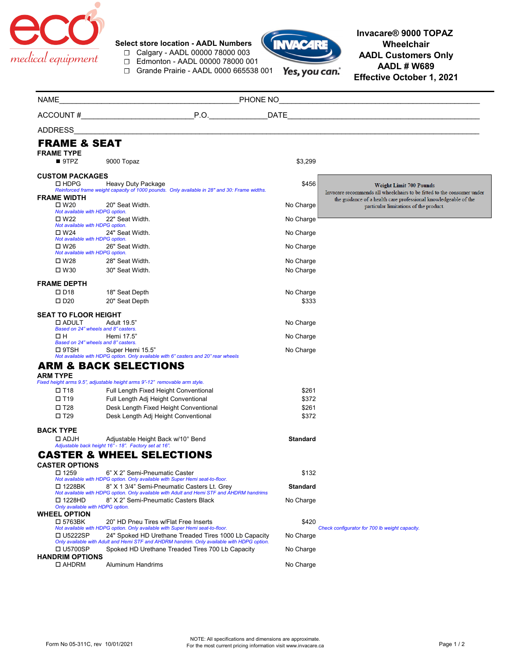

**Select store location - AADL Numbers** ☐ Calgary - AADL 00000 78000 003

☐ Edmonton - AADL 00000 78000 001

☐ Grande Prairie - AADL 0000 665538 001



**Invacare® 9000 TOPAZ Wheelchair AADL Customers Only AADL # W689 Effective October 1, 2021**

| <b>NAME</b>                                      | PHONE NO                                                                                                                                       |                 | <u> 1980 - Jan James James, martin amerikan basar dan berasal dalam basa dalam basar dalam basar dalam basa dala</u> |
|--------------------------------------------------|------------------------------------------------------------------------------------------------------------------------------------------------|-----------------|----------------------------------------------------------------------------------------------------------------------|
|                                                  | P.O.<br>ACCOUNT#                                                                                                                               | <b>DATE</b>     |                                                                                                                      |
| ADDRESS                                          |                                                                                                                                                |                 |                                                                                                                      |
| <b>FRAME &amp; SEAT</b>                          |                                                                                                                                                |                 |                                                                                                                      |
| <b>FRAME TYPE</b>                                |                                                                                                                                                |                 |                                                                                                                      |
| 9TPZ                                             | 9000 Topaz                                                                                                                                     | \$3,299         |                                                                                                                      |
| <b>CUSTOM PACKAGES</b>                           |                                                                                                                                                |                 |                                                                                                                      |
| $\Box$ HDPG                                      | Heavy Duty Package<br>Reinforced frame weight capacity of 1000 pounds. Only available in 28" and 30: Frame widths.                             | \$456           | <b>Weight Limit 700 Pounds</b><br>Invacare recommends all wheelchairs to be fitted to the consumer under             |
| <b>FRAME WIDTH</b>                               |                                                                                                                                                |                 | the guidance of a health care professional knowledgeable of the                                                      |
| $\square$ W20                                    | 20" Seat Width.                                                                                                                                | No Charge       | particular limitations of the product.                                                                               |
| Not available with HDPG option.<br>$\square$ W22 | 22" Seat Width.                                                                                                                                | No Charge       |                                                                                                                      |
| Not available with HDPG option.<br>$\square$ W24 | 24" Seat Width.                                                                                                                                | No Charge       |                                                                                                                      |
| Not available with HDPG option.<br>$\square$ W26 |                                                                                                                                                |                 |                                                                                                                      |
| Not available with HDPG option.                  | 26" Seat Width.                                                                                                                                | No Charge       |                                                                                                                      |
| $\square$ W28                                    | 28" Seat Width.                                                                                                                                | No Charge       |                                                                                                                      |
| $\square$ W30                                    | 30" Seat Width.                                                                                                                                | No Charge       |                                                                                                                      |
| <b>FRAME DEPTH</b>                               |                                                                                                                                                |                 |                                                                                                                      |
| $\square$ D <sub>18</sub>                        | 18" Seat Depth                                                                                                                                 | No Charge       |                                                                                                                      |
| $\square$ D <sub>20</sub>                        | 20" Seat Depth                                                                                                                                 | \$333           |                                                                                                                      |
| <b>SEAT TO FLOOR HEIGHT</b>                      |                                                                                                                                                |                 |                                                                                                                      |
| □ ADULT                                          | Adult 19.5"<br>Based on 24" wheels and 8" casters.                                                                                             | No Charge       |                                                                                                                      |
| ΩН                                               | Hemi 17.5"                                                                                                                                     | No Charge       |                                                                                                                      |
| $\square$ 9TSH                                   | Based on 24" wheels and 8" casters.<br>Super Hemi 15.5"                                                                                        | No Charge       |                                                                                                                      |
|                                                  | Not available with HDPG option. Only available with 6" casters and 20" rear wheels                                                             |                 |                                                                                                                      |
|                                                  | <b>ARM &amp; BACK SELECTIONS</b>                                                                                                               |                 |                                                                                                                      |
| <b>ARM TYPE</b>                                  | Fixed height arms 9.5", adjustable height arms 9"-12" removable arm style.                                                                     |                 |                                                                                                                      |
| $\square$ T18                                    | Full Length Fixed Height Conventional                                                                                                          | \$261           |                                                                                                                      |
| $\square$ T19                                    | Full Length Adj Height Conventional                                                                                                            | \$372           |                                                                                                                      |
| $\square$ T28                                    | Desk Length Fixed Height Conventional                                                                                                          | \$261           |                                                                                                                      |
| $\square$ T29                                    | Desk Length Adj Height Conventional                                                                                                            | \$372           |                                                                                                                      |
| <b>BACK TYPE</b>                                 |                                                                                                                                                |                 |                                                                                                                      |
| $\Box$ ADJH                                      | Adjustable Height Back w/10° Bend                                                                                                              | <b>Standard</b> |                                                                                                                      |
|                                                  | Adjustable back height 16" - 18". Factory set at 16".                                                                                          |                 |                                                                                                                      |
|                                                  | <b>CASTER &amp; WHEEL SELECTIONS</b>                                                                                                           |                 |                                                                                                                      |
| <b>CASTER OPTIONS</b><br>□ 1259                  | 6" X 2" Semi-Pneumatic Caster                                                                                                                  | \$132           |                                                                                                                      |
|                                                  | Not available with HDPG option. Only available with Super Hemi seat-to-floor.                                                                  |                 |                                                                                                                      |
| □ 1228BK                                         | 8" X 1 3/4" Semi-Pneumatic Casters Lt. Grey<br>Not available with HDPG option. Only available with Adult and Hemi STF and AHDRM handrims       | <b>Standard</b> |                                                                                                                      |
| □ 1228HD<br>Only available with HDPG option.     | 8" X 2" Semi-Pneumatic Casters Black                                                                                                           | No Charge       |                                                                                                                      |
| <b>WHEEL OPTION</b>                              |                                                                                                                                                |                 |                                                                                                                      |
| □ 5763BK                                         | 20" HD Pneu Tires w/Flat Free Inserts<br>Not available with HDPG option. Only available with Super Hemi seat-to-floor.                         | \$420           | Check configurator for 700 lb weight capacity.                                                                       |
| □ U5222SP                                        | 24" Spoked HD Urethane Treaded Tires 1000 Lb Capacity                                                                                          | No Charge       |                                                                                                                      |
| □ U5700SP                                        | Only available with Adult and Hemi STF and AHDRM handrim. Only available with HDPG option.<br>Spoked HD Urethane Treaded Tires 700 Lb Capacity | No Charge       |                                                                                                                      |
| <b>HANDRIM OPTIONS</b><br>□ AHDRM                | <b>Aluminum Handrims</b>                                                                                                                       | No Charge       |                                                                                                                      |
|                                                  |                                                                                                                                                |                 |                                                                                                                      |